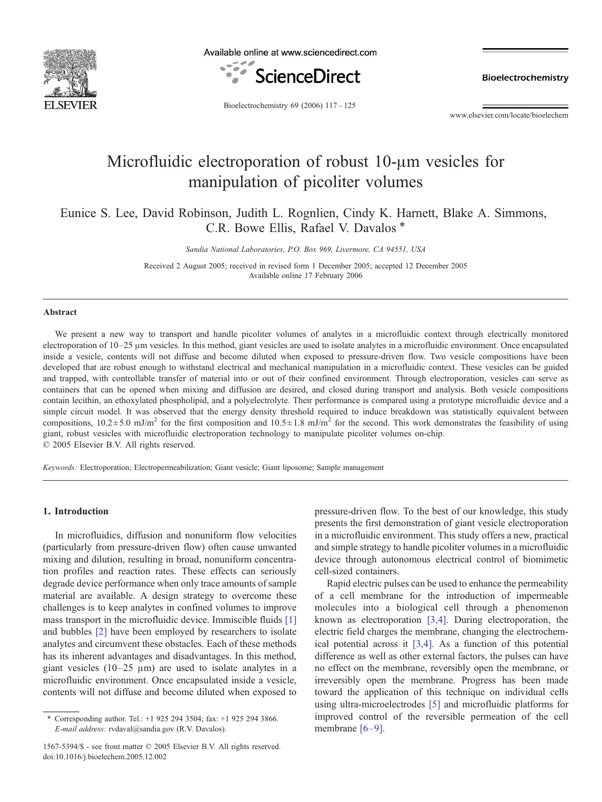

Available online at www.sciencedirect.com



Bioelectrochemistry

Bioelectrochemistry 69 (2006) 117–125

www.elsevier.com/locate/bioelechem

# Microfluidic electroporation of robust 10-μm vesicles for manipulation of picoliter volumes

Eunice S. Lee, David Robinson, Judith L. Rognlien, Cindy K. Harnett, Blake A. Simmons, C.R. Bowe Ellis, Rafael V. Davalos  $*$ 

Sandia National Laboratories, P.O. Box 969, Livermore, CA 94551, USA

Received 2 August 2005; received in revised form 1 December 2005; accepted 12 December 2005 Available online 17 February 2006

#### Abstract

We present a new way to transport and handle picoliter volumes of analytes in a microfluidic context through electrically monitored electroporation of 10–25 μm vesicles. In this method, giant vesicles are used to isolate analytes in a microfluidic environment. Once encapsulated inside a vesicle, contents will not diffuse and become diluted when exposed to pressure-driven flow. Two vesicle compositions have been developed that are robust enough to withstand electrical and mechanical manipulation in a microfluidic context. These vesicles can be guided and trapped, with controllable transfer of material into or out of their confined environment. Through electroporation, vesicles can serve as containers that can be opened when mixing and diffusion are desired, and closed during transport and analysis. Both vesicle compositions contain lecithin, an ethoxylated phospholipid, and a polyelectrolyte. Their performance is compared using a prototype microfluidic device and a simple circuit model. It was observed that the energy density threshold required to induce breakdown was statistically equivalent between compositions,  $10.2 \pm 5.0$  mJ/m<sup>2</sup> for the first composition and  $10.5 \pm 1.8$  mJ/m<sup>2</sup> for the second. This work demonstrates the feasibility of using giant, robust vesicles with microfluidic electroporation technology to manipulate picoliter volumes on-chip. © 2005 Elsevier B.V. All rights reserved.

Keywords: Electroporation; Electropermeabilization; Giant vesicle; Giant liposome; Sample management

# 1. Introduction

In microfluidics, diffusion and nonuniform flow velocities (particularly from pressure-driven flow) often cause unwanted mixing and dilution, resulting in broad, nonuniform concentration profiles and reaction rates. These effects can seriously degrade device performance when only trace amounts of sample material are available. A design strategy to overcome these challenges is to keep analytes in confined volumes to improve mass transport in the microfluidic device. Immiscible fluids [\[1\]](#page-7-0) and bubbles [\[2\]](#page-8-0) have been employed by researchers to isolate analytes and circumvent these obstacles. Each of these methods has its inherent advantages and disadvantages. In this method, giant vesicles  $(10-25 \mu m)$  are used to isolate analytes in a microfluidic environment. Once encapsulated inside a vesicle, contents will not diffuse and become diluted when exposed to pressure-driven flow. To the best of our knowledge, this study presents the first demonstration of giant vesicle electroporation in a microfluidic environment. This study offers a new, practical and simple strategy to handle picoliter volumes in a microfluidic device through autonomous electrical control of biomimetic cell-sized containers.

Rapid electric pulses can be used to enhance the permeability of a cell membrane for the introduction of impermeable molecules into a biological cell through a phenomenon known as electroporation [\[3,4\].](#page-8-0) During electroporation, the electric field charges the membrane, changing the electrochemical potential across it [\[3,4\]](#page-8-0). As a function of this potential difference as well as other external factors, the pulses can have no effect on the membrane, reversibly open the membrane, or irreversibly open the membrane. Progress has been made toward the application of this technique on individual cells using ultra-microelectrodes [\[5\]](#page-8-0) and microfluidic platforms for improved control of the reversible permeation of the cell membrane [6–[9\].](#page-8-0)

<sup>⁎</sup> Corresponding author. Tel.: +1 925 294 3504; fax: +1 925 294 3866. E-mail address: rvdaval@sandia.gov (R.V. Davalos).

<sup>1567-5394/\$ -</sup> see front matter © 2005 Elsevier B.V. All rights reserved. doi:10.1016/j.bioelechem.2005.12.002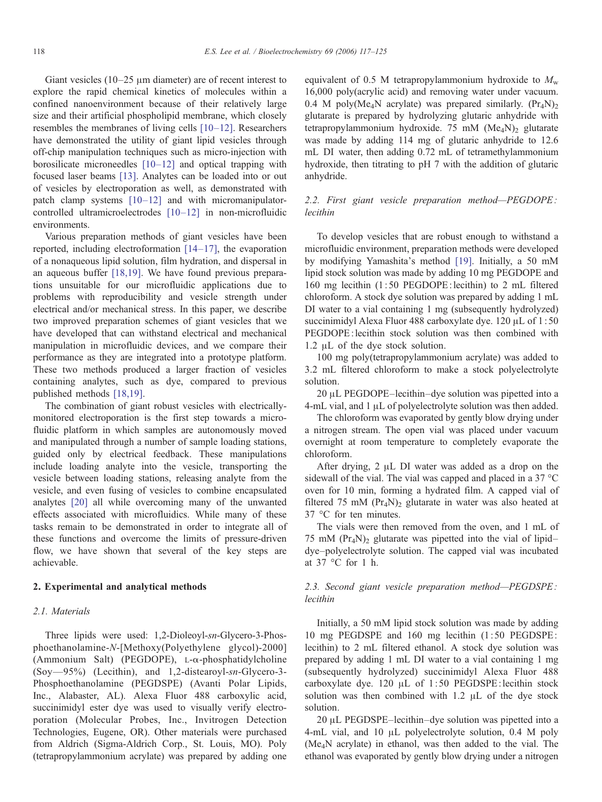Giant vesicles (10–25 μm diameter) are of recent interest to explore the rapid chemical kinetics of molecules within a confined nanoenvironment because of their relatively large size and their artificial phospholipid membrane, which closely resembles the membranes of living cells [\[10](#page-8-0)–12]. Researchers have demonstrated the utility of giant lipid vesicles through off-chip manipulation techniques such as micro-injection with borosilicate microneedles [10–[12\]](#page-8-0) and optical trapping with focused laser beams [\[13\].](#page-8-0) Analytes can be loaded into or out of vesicles by electroporation as well, as demonstrated with patch clamp systems [10–[12\]](#page-8-0) and with micromanipulatorcontrolled ultramicroelectrodes [10–[12\]](#page-8-0) in non-microfluidic environments.

Various preparation methods of giant vesicles have been reported, including electroformation [14–[17\],](#page-8-0) the evaporation of a nonaqueous lipid solution, film hydration, and dispersal in an aqueous buffer [\[18,19\]](#page-8-0). We have found previous preparations unsuitable for our microfluidic applications due to problems with reproducibility and vesicle strength under electrical and/or mechanical stress. In this paper, we describe two improved preparation schemes of giant vesicles that we have developed that can withstand electrical and mechanical manipulation in microfluidic devices, and we compare their performance as they are integrated into a prototype platform. These two methods produced a larger fraction of vesicles containing analytes, such as dye, compared to previous published methods [\[18,19\]](#page-8-0).

The combination of giant robust vesicles with electricallymonitored electroporation is the first step towards a microfluidic platform in which samples are autonomously moved and manipulated through a number of sample loading stations, guided only by electrical feedback. These manipulations include loading analyte into the vesicle, transporting the vesicle between loading stations, releasing analyte from the vesicle, and even fusing of vesicles to combine encapsulated analytes [\[20\]](#page-8-0) all while overcoming many of the unwanted effects associated with microfluidics. While many of these tasks remain to be demonstrated in order to integrate all of these functions and overcome the limits of pressure-driven flow, we have shown that several of the key steps are achievable.

## 2. Experimental and analytical methods

## 2.1. Materials

Three lipids were used: 1,2-Dioleoyl-sn-Glycero-3-Phosphoethanolamine-N-[Methoxy(Polyethylene glycol)-2000] (Ammonium Salt) (PEGDOPE), L-α-phosphatidylcholine (Soy—95%) (Lecithin), and 1,2-distearoyl-sn-Glycero-3- Phosphoethanolamine (PEGDSPE) (Avanti Polar Lipids, Inc., Alabaster, AL). Alexa Fluor 488 carboxylic acid, succinimidyl ester dye was used to visually verify electroporation (Molecular Probes, Inc., Invitrogen Detection Technologies, Eugene, OR). Other materials were purchased from Aldrich (Sigma-Aldrich Corp., St. Louis, MO). Poly (tetrapropylammonium acrylate) was prepared by adding one equivalent of 0.5 M tetrapropylammonium hydroxide to  $M_{\rm w}$ 16,000 poly(acrylic acid) and removing water under vacuum. 0.4 M poly(Me<sub>4</sub>N acrylate) was prepared similarly.  $(Pr_4N)_2$ glutarate is prepared by hydrolyzing glutaric anhydride with tetrapropylammonium hydroxide. 75 mM  $(Me_4N)$  glutarate was made by adding 114 mg of glutaric anhydride to 12.6 mL DI water, then adding 0.72 mL of tetramethylammonium hydroxide, then titrating to pH 7 with the addition of glutaric anhydride.

## 2.2. First giant vesicle preparation method-PEGDOPE: lecithin

To develop vesicles that are robust enough to withstand a microfluidic environment, preparation methods were developed by modifying Yamashita's method [\[19\].](#page-8-0) Initially, a 50 mM lipid stock solution was made by adding 10 mg PEGDOPE and 160 mg lecithin (1: 50 PEGDOPE:lecithin) to 2 mL filtered chloroform. A stock dye solution was prepared by adding 1 mL DI water to a vial containing 1 mg (subsequently hydrolyzed) succinimidyl Alexa Fluor 488 carboxylate dye. 120 μL of 1:50 PEGDOPE:lecithin stock solution was then combined with 1.2 μL of the dye stock solution.

100 mg poly(tetrapropylammonium acrylate) was added to 3.2 mL filtered chloroform to make a stock polyelectrolyte solution.

20 μL PEGDOPE–lecithin–dye solution was pipetted into a 4-mL vial, and 1 μL of polyelectrolyte solution was then added.

The chloroform was evaporated by gently blow drying under a nitrogen stream. The open vial was placed under vacuum overnight at room temperature to completely evaporate the chloroform.

After drying, 2 μL DI water was added as a drop on the sidewall of the vial. The vial was capped and placed in a 37 °C oven for 10 min, forming a hydrated film. A capped vial of filtered 75 mM ( $Pr_4N$ )<sub>2</sub> glutarate in water was also heated at 37 °C for ten minutes.

The vials were then removed from the oven, and 1 mL of 75 mM  $(Pr_4N)_2$  glutarate was pipetted into the vial of lipid– dye–polyelectrolyte solution. The capped vial was incubated at 37 °C for 1 h.

# 2.3. Second giant vesicle preparation method—PEGDSPE : lecithin

Initially, a 50 mM lipid stock solution was made by adding 10 mg PEGDSPE and 160 mg lecithin (1: 50 PEGDSPE: lecithin) to 2 mL filtered ethanol. A stock dye solution was prepared by adding 1 mL DI water to a vial containing 1 mg (subsequently hydrolyzed) succinimidyl Alexa Fluor 488 carboxylate dye. 120 μL of 1: 50 PEGDSPE:lecithin stock solution was then combined with 1.2 μL of the dye stock solution.

20 μL PEGDSPE–lecithin–dye solution was pipetted into a 4-mL vial, and 10 μL polyelectrolyte solution, 0.4 M poly (Me4N acrylate) in ethanol, was then added to the vial. The ethanol was evaporated by gently blow drying under a nitrogen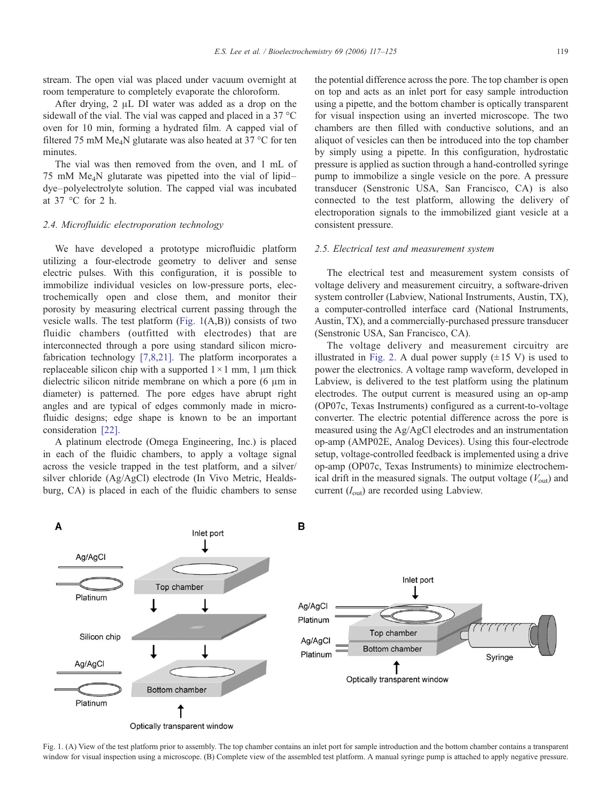stream. The open vial was placed under vacuum overnight at room temperature to completely evaporate the chloroform.

After drying, 2 μL DI water was added as a drop on the sidewall of the vial. The vial was capped and placed in a 37 °C oven for 10 min, forming a hydrated film. A capped vial of filtered 75 mM Me<sub>4</sub>N glutarate was also heated at 37 °C for ten minutes.

The vial was then removed from the oven, and 1 mL of 75 mM Me4N glutarate was pipetted into the vial of lipid– dye–polyelectrolyte solution. The capped vial was incubated at 37 °C for 2 h.

#### 2.4. Microfluidic electroporation technology

We have developed a prototype microfluidic platform utilizing a four-electrode geometry to deliver and sense electric pulses. With this configuration, it is possible to immobilize individual vesicles on low-pressure ports, electrochemically open and close them, and monitor their porosity by measuring electrical current passing through the vesicle walls. The test platform (Fig. 1(A,B)) consists of two fluidic chambers (outfitted with electrodes) that are interconnected through a pore using standard silicon microfabrication technology [\[7,8,21\].](#page-8-0) The platform incorporates a replaceable silicon chip with a supported  $1 \times 1$  mm, 1  $\mu$ m thick dielectric silicon nitride membrane on which a pore (6 μm in diameter) is patterned. The pore edges have abrupt right angles and are typical of edges commonly made in microfluidic designs; edge shape is known to be an important consideration [\[22\]](#page-8-0).

A platinum electrode (Omega Engineering, Inc.) is placed in each of the fluidic chambers, to apply a voltage signal across the vesicle trapped in the test platform, and a silver/ silver chloride (Ag/AgCl) electrode (In Vivo Metric, Healdsburg, CA) is placed in each of the fluidic chambers to sense the potential difference across the pore. The top chamber is open on top and acts as an inlet port for easy sample introduction using a pipette, and the bottom chamber is optically transparent for visual inspection using an inverted microscope. The two chambers are then filled with conductive solutions, and an aliquot of vesicles can then be introduced into the top chamber by simply using a pipette. In this configuration, hydrostatic pressure is applied as suction through a hand-controlled syringe pump to immobilize a single vesicle on the pore. A pressure transducer (Senstronic USA, San Francisco, CA) is also connected to the test platform, allowing the delivery of electroporation signals to the immobilized giant vesicle at a consistent pressure.

## 2.5. Electrical test and measurement system

The electrical test and measurement system consists of voltage delivery and measurement circuitry, a software-driven system controller (Labview, National Instruments, Austin, TX), a computer-controlled interface card (National Instruments, Austin, TX), and a commercially-purchased pressure transducer (Senstronic USA, San Francisco, CA).

The voltage delivery and measurement circuitry are illustrated in [Fig. 2.](#page-3-0) A dual power supply  $(\pm 15 \text{ V})$  is used to power the electronics. A voltage ramp waveform, developed in Labview, is delivered to the test platform using the platinum electrodes. The output current is measured using an op-amp (OP07c, Texas Instruments) configured as a current-to-voltage converter. The electric potential difference across the pore is measured using the Ag/AgCl electrodes and an instrumentation op-amp (AMP02E, Analog Devices). Using this four-electrode setup, voltage-controlled feedback is implemented using a drive op-amp (OP07c, Texas Instruments) to minimize electrochemical drift in the measured signals. The output voltage  $(V_{\text{out}})$  and current  $(I_{\text{out}})$  are recorded using Labview.



Fig. 1. (A) View of the test platform prior to assembly. The top chamber contains an inlet port for sample introduction and the bottom chamber contains a transparent window for visual inspection using a microscope. (B) Complete view of the assembled test platform. A manual syringe pump is attached to apply negative pressure.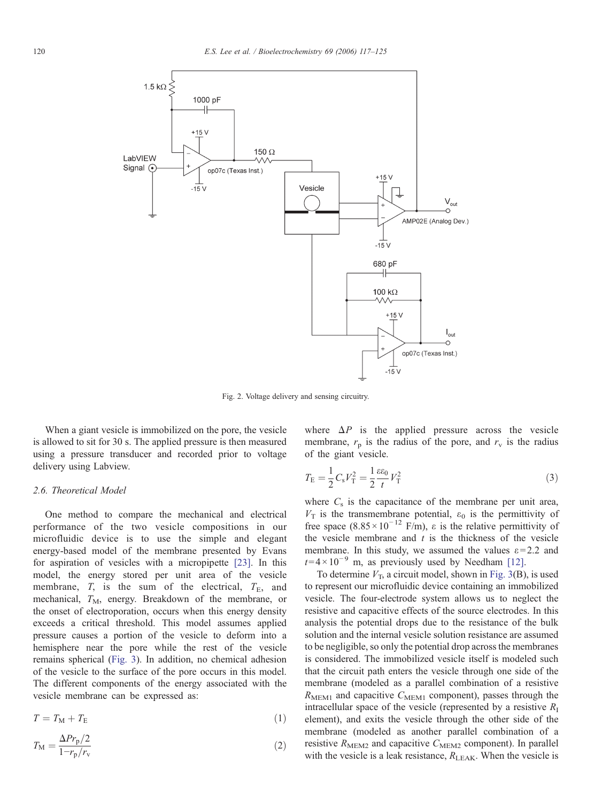<span id="page-3-0"></span>

Fig. 2. Voltage delivery and sensing circuitry.

When a giant vesicle is immobilized on the pore, the vesicle is allowed to sit for 30 s. The applied pressure is then measured using a pressure transducer and recorded prior to voltage delivery using Labview.

## 2.6. Theoretical Model

One method to compare the mechanical and electrical performance of the two vesicle compositions in our microfluidic device is to use the simple and elegant energy-based model of the membrane presented by Evans for aspiration of vesicles with a micropipette [\[23\]](#page-8-0). In this model, the energy stored per unit area of the vesicle membrane,  $T$ , is the sum of the electrical,  $T_{\text{E}}$ , and mechanical,  $T_M$ , energy. Breakdown of the membrane, or the onset of electroporation, occurs when this energy density exceeds a critical threshold. This model assumes applied pressure causes a portion of the vesicle to deform into a hemisphere near the pore while the rest of the vesicle remains spherical [\(Fig. 3\)](#page-4-0). In addition, no chemical adhesion of the vesicle to the surface of the pore occurs in this model. The different components of the energy associated with the vesicle membrane can be expressed as:

$$
T = T_{\rm M} + T_{\rm E} \tag{1}
$$

$$
T_{\rm M} = \frac{\Delta Pr_{\rm p}/2}{1 - r_{\rm p}/r_{\rm v}}\tag{2}
$$

where  $\Delta P$  is the applied pressure across the vesicle membrane,  $r_p$  is the radius of the pore, and  $r_v$  is the radius of the giant vesicle.

$$
T_{\rm E} = \frac{1}{2} C_{\rm s} V_{\rm T}^2 = \frac{1}{2} \frac{\varepsilon \varepsilon_0}{t} V_{\rm T}^2 \tag{3}
$$

where  $C_s$  is the capacitance of the membrane per unit area,  $V_T$  is the transmembrane potential,  $\varepsilon_0$  is the permittivity of free space  $(8.85 \times 10^{-12} \text{ F/m})$ ,  $\varepsilon$  is the relative permittivity of the vesicle membrane and  $t$  is the thickness of the vesicle membrane. In this study, we assumed the values  $\varepsilon = 2.2$  and  $t= 4 \times 10^{-9}$  m, as previously used by Needham [\[12\].](#page-8-0)

To determine  $V<sub>T</sub>$ , a circuit model, shown in [Fig. 3\(](#page-4-0)B), is used to represent our microfluidic device containing an immobilized vesicle. The four-electrode system allows us to neglect the resistive and capacitive effects of the source electrodes. In this analysis the potential drops due to the resistance of the bulk solution and the internal vesicle solution resistance are assumed to be negligible, so only the potential drop across the membranes is considered. The immobilized vesicle itself is modeled such that the circuit path enters the vesicle through one side of the membrane (modeled as a parallel combination of a resistive  $R_{\text{MEM1}}$  and capacitive  $C_{\text{MEM1}}$  component), passes through the intracellular space of the vesicle (represented by a resistive  $R<sub>I</sub>$ element), and exits the vesicle through the other side of the membrane (modeled as another parallel combination of a resistive  $R_{\text{MEM2}}$  and capacitive  $C_{\text{MEM2}}$  component). In parallel with the vesicle is a leak resistance,  $R_{\text{LEAK}}$ . When the vesicle is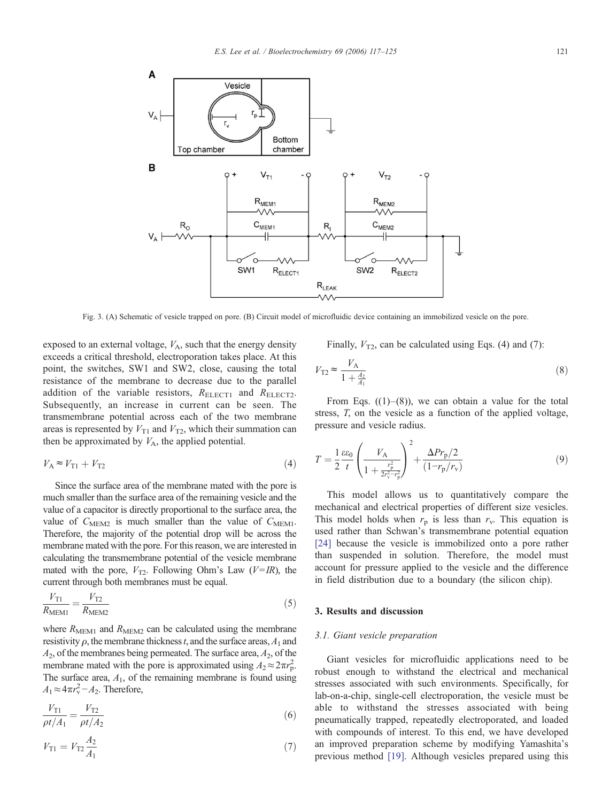<span id="page-4-0"></span>

Fig. 3. (A) Schematic of vesicle trapped on pore. (B) Circuit model of microfluidic device containing an immobilized vesicle on the pore.

exposed to an external voltage,  $V_A$ , such that the energy density exceeds a critical threshold, electroporation takes place. At this point, the switches, SW1 and SW2, close, causing the total resistance of the membrane to decrease due to the parallel addition of the variable resistors,  $R_{\text{ELECT1}}$  and  $R_{\text{ELECT2}}$ . Subsequently, an increase in current can be seen. The transmembrane potential across each of the two membrane areas is represented by  $V_{\text{T1}}$  and  $V_{\text{T2}}$ , which their summation can then be approximated by  $V_A$ , the applied potential.

$$
V_{\rm A} \approx V_{\rm T1} + V_{\rm T2} \tag{4}
$$

Since the surface area of the membrane mated with the pore is much smaller than the surface area of the remaining vesicle and the value of a capacitor is directly proportional to the surface area, the value of  $C_{MEM2}$  is much smaller than the value of  $C_{MEM1}$ . Therefore, the majority of the potential drop will be across the membrane mated with the pore. For this reason, we are interested in calculating the transmembrane potential of the vesicle membrane mated with the pore,  $V_{T2}$ . Following Ohm's Law ( $V=IR$ ), the current through both membranes must be equal.

$$
\frac{V_{\text{T1}}}{R_{\text{MEM1}}} = \frac{V_{\text{T2}}}{R_{\text{MEM2}}} \tag{5}
$$

where  $R_{\text{MEM1}}$  and  $R_{\text{MEM2}}$  can be calculated using the membrane resistivity  $\rho$ , the membrane thickness t, and the surface areas,  $A_1$  and  $A_2$ , of the membranes being permeated. The surface area,  $A_2$ , of the membrane mated with the pore is approximated using  $A_2 \approx 2\pi r_p^2$ . The surface area,  $A_1$ , of the remaining membrane is found using  $A_1 \approx 4\pi r_v^2 - A_2$ . Therefore,

$$
\frac{V_{\text{T1}}}{\rho t / A_1} = \frac{V_{\text{T2}}}{\rho t / A_2} \tag{6}
$$

$$
V_{\rm T1} = V_{\rm T2} \frac{A_2}{A_1} \tag{7}
$$

Finally,  $V_{T2}$ , can be calculated using Eqs. (4) and (7):

$$
V_{\text{T2}} \approx \frac{V_{\text{A}}}{1 + \frac{A_2}{A_1}}\tag{8}
$$

From Eqs.  $((1)–(8))$ , we can obtain a value for the total stress, T, on the vesicle as a function of the applied voltage, pressure and vesicle radius.

$$
T = \frac{1}{2} \frac{\varepsilon \varepsilon_0}{t} \left( \frac{V_A}{1 + \frac{r_{\rm p}^2}{2r_{\rm v}^2 - r_{\rm p}^2}} \right)^2 + \frac{\Delta Pr_{\rm p}/2}{(1 - r_{\rm p}/r_{\rm v})}
$$
(9)

This model allows us to quantitatively compare the mechanical and electrical properties of different size vesicles. This model holds when  $r_p$  is less than  $r_v$ . This equation is used rather than Schwan's transmembrane potential equation [\[24\]](#page-8-0) because the vesicle is immobilized onto a pore rather than suspended in solution. Therefore, the model must account for pressure applied to the vesicle and the difference in field distribution due to a boundary (the silicon chip).

## 3. Results and discussion

#### 3.1. Giant vesicle preparation

Giant vesicles for microfluidic applications need to be robust enough to withstand the electrical and mechanical stresses associated with such environments. Specifically, for lab-on-a-chip, single-cell electroporation, the vesicle must be able to withstand the stresses associated with being pneumatically trapped, repeatedly electroporated, and loaded with compounds of interest. To this end, we have developed an improved preparation scheme by modifying Yamashita's previous method [\[19\]](#page-8-0). Although vesicles prepared using this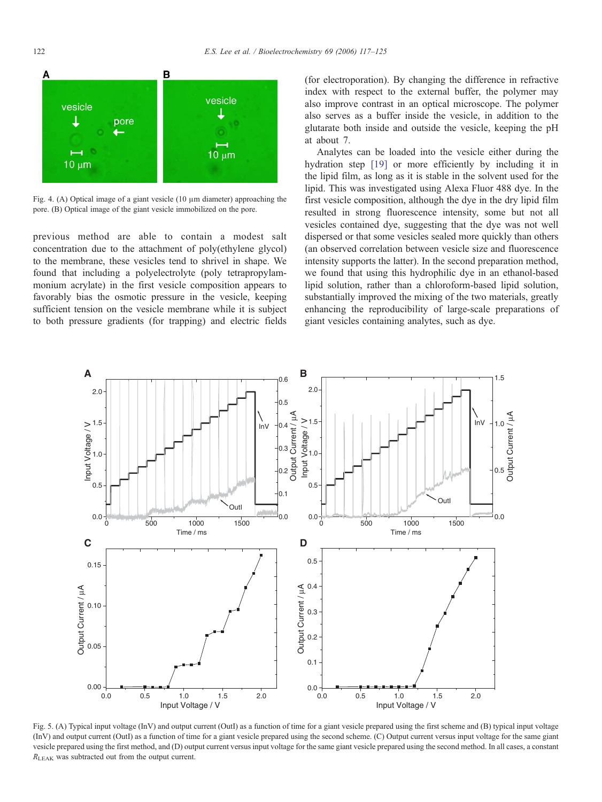<span id="page-5-0"></span>

Fig. 4. (A) Optical image of a giant vesicle (10 μm diameter) approaching the pore. (B) Optical image of the giant vesicle immobilized on the pore.

previous method are able to contain a modest salt concentration due to the attachment of poly(ethylene glycol) to the membrane, these vesicles tend to shrivel in shape. We found that including a polyelectrolyte (poly tetrapropylammonium acrylate) in the first vesicle composition appears to favorably bias the osmotic pressure in the vesicle, keeping sufficient tension on the vesicle membrane while it is subject to both pressure gradients (for trapping) and electric fields (for electroporation). By changing the difference in refractive index with respect to the external buffer, the polymer may also improve contrast in an optical microscope. The polymer also serves as a buffer inside the vesicle, in addition to the glutarate both inside and outside the vesicle, keeping the pH at about 7.

Analytes can be loaded into the vesicle either during the hydration step [\[19\]](#page-8-0) or more efficiently by including it in the lipid film, as long as it is stable in the solvent used for the lipid. This was investigated using Alexa Fluor 488 dye. In the first vesicle composition, although the dye in the dry lipid film resulted in strong fluorescence intensity, some but not all vesicles contained dye, suggesting that the dye was not well dispersed or that some vesicles sealed more quickly than others (an observed correlation between vesicle size and fluorescence intensity supports the latter). In the second preparation method, we found that using this hydrophilic dye in an ethanol-based lipid solution, rather than a chloroform-based lipid solution, substantially improved the mixing of the two materials, greatly enhancing the reproducibility of large-scale preparations of giant vesicles containing analytes, such as dye.



Fig. 5. (A) Typical input voltage (InV) and output current (OutI) as a function of time for a giant vesicle prepared using the first scheme and (B) typical input voltage (InV) and output current (OutI) as a function of time for a giant vesicle prepared using the second scheme. (C) Output current versus input voltage for the same giant vesicle prepared using the first method, and (D) output current versus input voltage for the same giant vesicle prepared using the second method. In all cases, a constant RLEAK was subtracted out from the output current.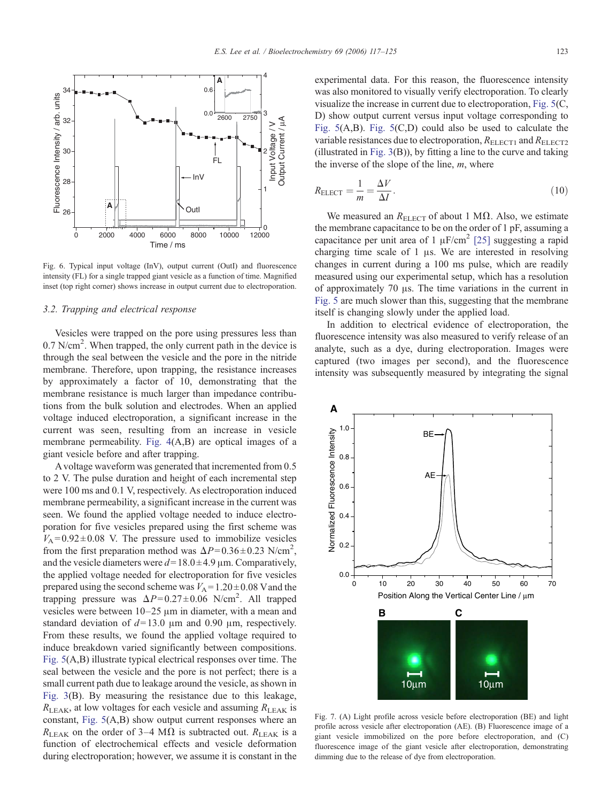<span id="page-6-0"></span>

Fig. 6. Typical input voltage (InV), output current (OutI) and fluorescence intensity (FL) for a single trapped giant vesicle as a function of time. Magnified inset (top right corner) shows increase in output current due to electroporation.

#### 3.2. Trapping and electrical response

Vesicles were trapped on the pore using pressures less than 0.7 N/cm<sup>2</sup>. When trapped, the only current path in the device is through the seal between the vesicle and the pore in the nitride membrane. Therefore, upon trapping, the resistance increases by approximately a factor of 10, demonstrating that the membrane resistance is much larger than impedance contributions from the bulk solution and electrodes. When an applied voltage induced electroporation, a significant increase in the current was seen, resulting from an increase in vesicle membrane permeability. [Fig. 4\(](#page-5-0)A,B) are optical images of a giant vesicle before and after trapping.

A voltage waveform was generated that incremented from 0.5 to 2 V. The pulse duration and height of each incremental step were 100 ms and 0.1 V, respectively. As electroporation induced membrane permeability, a significant increase in the current was seen. We found the applied voltage needed to induce electroporation for five vesicles prepared using the first scheme was  $V_A = 0.92 \pm 0.08$  V. The pressure used to immobilize vesicles from the first preparation method was  $\Delta P = 0.36 \pm 0.23$  N/cm<sup>2</sup>, and the vesicle diameters were  $d= 18.0 \pm 4.9 \,\mu$ m. Comparatively, the applied voltage needed for electroporation for five vesicles prepared using the second scheme was  $V_A = 1.20 \pm 0.08$  V and the trapping pressure was  $\Delta P = 0.27 \pm 0.06$  N/cm<sup>2</sup>. All trapped vesicles were between 10–25 μm in diameter, with a mean and standard deviation of  $d=13.0 \mu m$  and 0.90  $\mu m$ , respectively. From these results, we found the applied voltage required to induce breakdown varied significantly between compositions. [Fig. 5\(](#page-5-0)A,B) illustrate typical electrical responses over time. The seal between the vesicle and the pore is not perfect; there is a small current path due to leakage around the vesicle, as shown in [Fig. 3\(](#page-4-0)B). By measuring the resistance due to this leakage,  $R_{\text{LEAK}}$ , at low voltages for each vesicle and assuming  $R_{\text{LEAK}}$  is constant, [Fig. 5](#page-5-0)(A,B) show output current responses where an  $R_{\text{LEAK}}$  on the order of 3–4 M $\Omega$  is subtracted out.  $R_{\text{LEAK}}$  is a function of electrochemical effects and vesicle deformation during electroporation; however, we assume it is constant in the experimental data. For this reason, the fluorescence intensity was also monitored to visually verify electroporation. To clearly visualize the increase in current due to electroporation, [Fig. 5](#page-5-0)(C, D) show output current versus input voltage corresponding to [Fig. 5](#page-5-0)(A,B). [Fig. 5\(](#page-5-0)C,D) could also be used to calculate the variable resistances due to electroporation,  $R_{\text{ELECT1}}$  and  $R_{\text{ELECT2}}$ (illustrated in [Fig. 3](#page-4-0)(B)), by fitting a line to the curve and taking the inverse of the slope of the line,  $m$ , where

$$
R_{\text{ELECT}} = \frac{1}{m} = \frac{\Delta V}{\Delta I}.
$$
\n(10)

We measured an  $R_{\text{ELECT}}$  of about 1 M $\Omega$ . Also, we estimate the membrane capacitance to be on the order of 1 pF, assuming a capacitance per unit area of 1  $\mu$ F/cm<sup>2</sup> [\[25\]](#page-8-0) suggesting a rapid charging time scale of 1 μs. We are interested in resolving changes in current during a 100 ms pulse, which are readily measured using our experimental setup, which has a resolution of approximately 70 μs. The time variations in the current in [Fig. 5](#page-5-0) are much slower than this, suggesting that the membrane itself is changing slowly under the applied load.

In addition to electrical evidence of electroporation, the fluorescence intensity was also measured to verify release of an analyte, such as a dye, during electroporation. Images were captured (two images per second), and the fluorescence intensity was subsequently measured by integrating the signal



Fig. 7. (A) Light profile across vesicle before electroporation (BE) and light profile across vesicle after electroporation (AE). (B) Fluorescence image of a giant vesicle immobilized on the pore before electroporation, and (C) fluorescence image of the giant vesicle after electroporation, demonstrating dimming due to the release of dye from electroporation.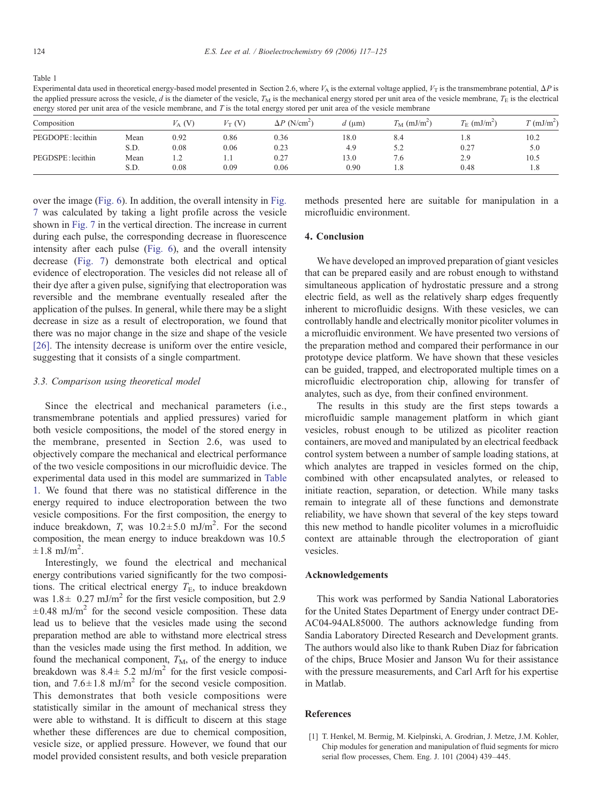<span id="page-7-0"></span>Table 1

Experimental data used in theoretical energy-based model presented in Section 2.6, where  $V_a$  is the external voltage applied,  $V_T$  is the transmembrane potential,  $\Delta P$  is the applied pressure across the vesicle, d is the diameter of the vesicle,  $T<sub>M</sub>$  is the mechanical energy stored per unit area of the vesicle membrane,  $T<sub>E</sub>$  is the electrical energy stored per unit area of the vesicle membrane, and T is the total energy stored per unit area of the vesicle membrane

| Composition       |      | (V)  | (V)  | $\Delta P$ (N/cm <sup>2</sup> ) | $d$ (µm) | $\Gamma_{\rm M}$ (mJ/m <sup>2)</sup> | $T_{\rm E}$ (mJ/m <sup>2</sup> ) | (mJ/m <sup>2</sup> ) |
|-------------------|------|------|------|---------------------------------|----------|--------------------------------------|----------------------------------|----------------------|
| PEGDOPE: lecithin | Mean | 0.92 | 0.86 | 0.36                            | 18.0     | 8.4                                  | 1.8                              | 10.2                 |
|                   | S.D. | 0.08 | 0.06 | 0.23                            | 4.9      | 5.2                                  | 0.27                             | 5.0                  |
| PEGDSPE: lecithin | Mean | .    |      | 0.27                            | 13.0     | $\overline{ }$<br>1.6                | 2.9                              | 10.5                 |
|                   | S.D. | 0.08 | 0.09 | 0.06                            | 0.90     | 1.8                                  | 0.48                             | 1.8                  |

over the image [\(Fig. 6](#page-6-0)). In addition, the overall intensity in [Fig.](#page-6-0) [7](#page-6-0) was calculated by taking a light profile across the vesicle shown in [Fig. 7](#page-6-0) in the vertical direction. The increase in current during each pulse, the corresponding decrease in fluorescence intensity after each pulse ([Fig. 6](#page-6-0)), and the overall intensity decrease ([Fig. 7\)](#page-6-0) demonstrate both electrical and optical evidence of electroporation. The vesicles did not release all of their dye after a given pulse, signifying that electroporation was reversible and the membrane eventually resealed after the application of the pulses. In general, while there may be a slight decrease in size as a result of electroporation, we found that there was no major change in the size and shape of the vesicle [\[26\]](#page-8-0). The intensity decrease is uniform over the entire vesicle, suggesting that it consists of a single compartment.

#### 3.3. Comparison using theoretical model

Since the electrical and mechanical parameters (i.e., transmembrane potentials and applied pressures) varied for both vesicle compositions, the model of the stored energy in the membrane, presented in Section 2.6, was used to objectively compare the mechanical and electrical performance of the two vesicle compositions in our microfluidic device. The experimental data used in this model are summarized in Table 1. We found that there was no statistical difference in the energy required to induce electroporation between the two vesicle compositions. For the first composition, the energy to induce breakdown, T, was  $10.2 \pm 5.0$  mJ/m<sup>2</sup>. For the second composition, the mean energy to induce breakdown was 10.5  $\pm 1.8$  mJ/m<sup>2</sup>.

Interestingly, we found the electrical and mechanical energy contributions varied significantly for the two compositions. The critical electrical energy  $T<sub>E</sub>$ , to induce breakdown was  $1.8 \pm 0.27$  mJ/m<sup>2</sup> for the first vesicle composition, but 2.9  $\pm 0.48$  mJ/m<sup>2</sup> for the second vesicle composition. These data lead us to believe that the vesicles made using the second preparation method are able to withstand more electrical stress than the vesicles made using the first method. In addition, we found the mechanical component,  $T_M$ , of the energy to induce breakdown was  $8.4 \pm 5.2$  mJ/m<sup>2</sup> for the first vesicle composition, and  $7.6 \pm 1.8$  mJ/m<sup>2</sup> for the second vesicle composition. This demonstrates that both vesicle compositions were statistically similar in the amount of mechanical stress they were able to withstand. It is difficult to discern at this stage whether these differences are due to chemical composition, vesicle size, or applied pressure. However, we found that our model provided consistent results, and both vesicle preparation

methods presented here are suitable for manipulation in a microfluidic environment.

## 4. Conclusion

We have developed an improved preparation of giant vesicles that can be prepared easily and are robust enough to withstand simultaneous application of hydrostatic pressure and a strong electric field, as well as the relatively sharp edges frequently inherent to microfluidic designs. With these vesicles, we can controllably handle and electrically monitor picoliter volumes in a microfluidic environment. We have presented two versions of the preparation method and compared their performance in our prototype device platform. We have shown that these vesicles can be guided, trapped, and electroporated multiple times on a microfluidic electroporation chip, allowing for transfer of analytes, such as dye, from their confined environment.

The results in this study are the first steps towards a microfluidic sample management platform in which giant vesicles, robust enough to be utilized as picoliter reaction containers, are moved and manipulated by an electrical feedback control system between a number of sample loading stations, at which analytes are trapped in vesicles formed on the chip, combined with other encapsulated analytes, or released to initiate reaction, separation, or detection. While many tasks remain to integrate all of these functions and demonstrate reliability, we have shown that several of the key steps toward this new method to handle picoliter volumes in a microfluidic context are attainable through the electroporation of giant vesicles.

## Acknowledgements

This work was performed by Sandia National Laboratories for the United States Department of Energy under contract DE-AC04-94AL85000. The authors acknowledge funding from Sandia Laboratory Directed Research and Development grants. The authors would also like to thank Ruben Diaz for fabrication of the chips, Bruce Mosier and Janson Wu for their assistance with the pressure measurements, and Carl Arft for his expertise in Matlab.

## References

[1] T. Henkel, M. Bermig, M. Kielpinski, A. Grodrian, J. Metze, J.M. Kohler, Chip modules for generation and manipulation of fluid segments for micro serial flow processes, Chem. Eng. J. 101 (2004) 439–445.